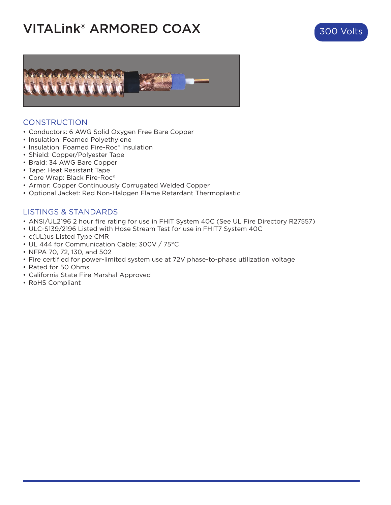## **VITALink® ARMORED COAX** 300 Volts





#### **CONSTRUCTION**

- Conductors: 6 AWG Solid Oxygen Free Bare Copper
- Insulation: Foamed Polyethylene
- Insulation: Foamed Fire-Roc® Insulation
- Shield: Copper/Polyester Tape
- Braid: 34 AWG Bare Copper
- Tape: Heat Resistant Tape
- Core Wrap: Black Fire-Roc®
- Armor: Copper Continuously Corrugated Welded Copper
- Optional Jacket: Red Non-Halogen Flame Retardant Thermoplastic

#### LISTINGS & STANDARDS

- ANSI/UL2196 2 hour fire rating for use in FHIT System 40C (See UL Fire Directory R27557)
- ULC-S139/2196 Listed with Hose Stream Test for use in FHIT7 System 40C
- c(UL)us Listed Type CMR
- UL 444 for Communication Cable; 300V / 75°C
- NFPA 70, 72, 130, and 502
- Fire certified for power-limited system use at 72V phase-to-phase utilization voltage
- Rated for 50 Ohms
- California State Fire Marshal Approved
- RoHS Compliant